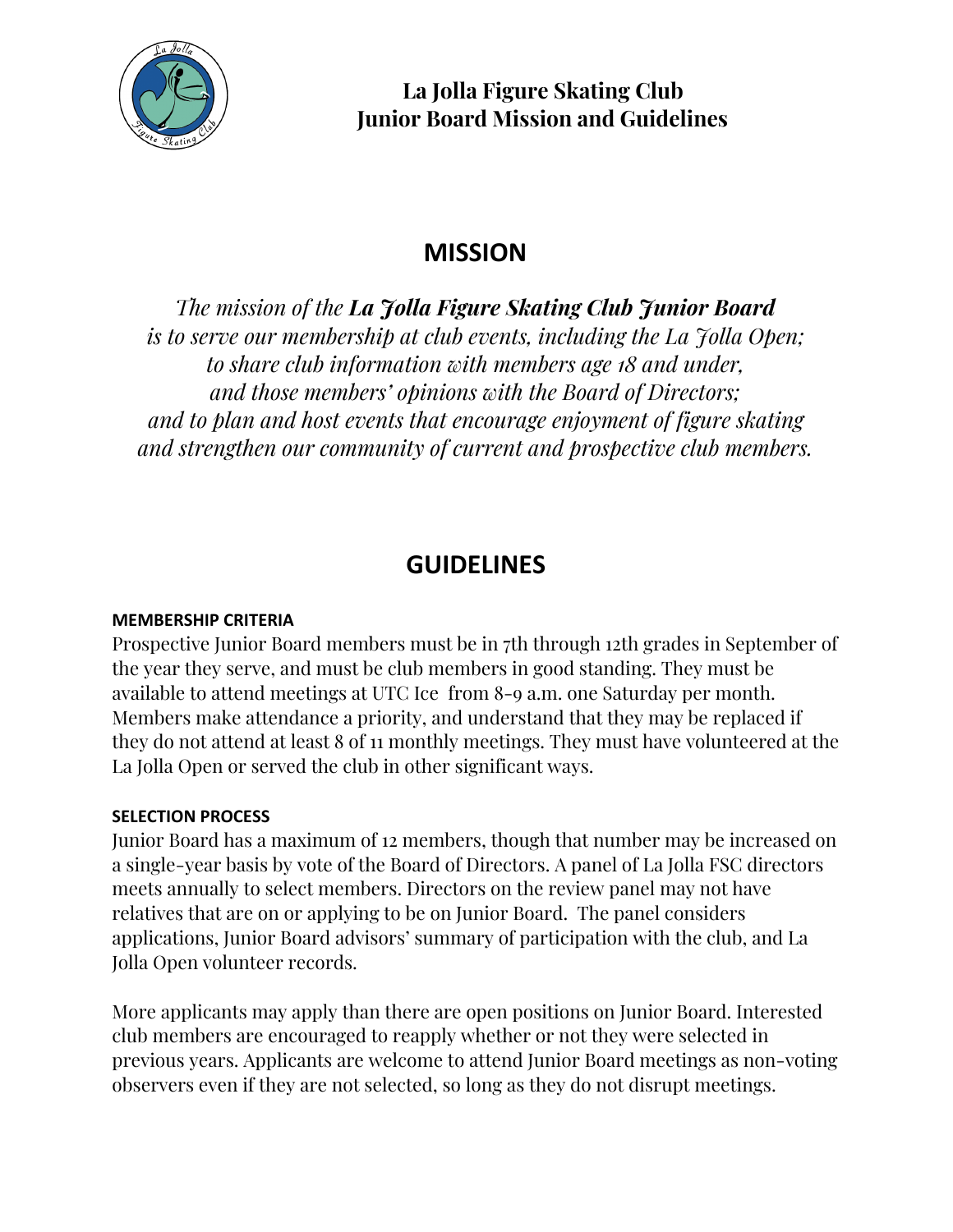

# **MISSION**

*The mission of the La Jolla Figure Skating Club Junior Board is to serve our membership at club events, including the La Jolla Open; to share club information with members age 18 and under, and those members' opinions with the Board of Directors; and to plan and host events that encourage enjoyment of figure skating and strengthen our community of current and prospective club members.*

## **GUIDELINES**

### **MEMBERSHIP CRITERIA**

Prospective Junior Board members must be in 7th through 12th grades in September of the year they serve, and must be club members in good standing. They must be available to attend meetings at UTC Ice from 8-9 a.m. one Saturday per month. Members make attendance a priority, and understand that they may be replaced if they do not attend at least 8 of 11 monthly meetings. They must have volunteered at the La Jolla Open or served the club in other significant ways.

#### **SELECTION PROCESS**

Junior Board has a maximum of 12 members, though that number may be increased on a single-year basis by vote of the Board of Directors. A panel of La Jolla FSC directors meets annually to select members. Directors on the review panel may not have relatives that are on or applying to be on Junior Board. The panel considers applications, Junior Board advisors' summary of participation with the club, and La Jolla Open volunteer records.

More applicants may apply than there are open positions on Junior Board. Interested club members are encouraged to reapply whether or not they were selected in previous years. Applicants are welcome to attend Junior Board meetings as non-voting observers even if they are not selected, so long as they do not disrupt meetings.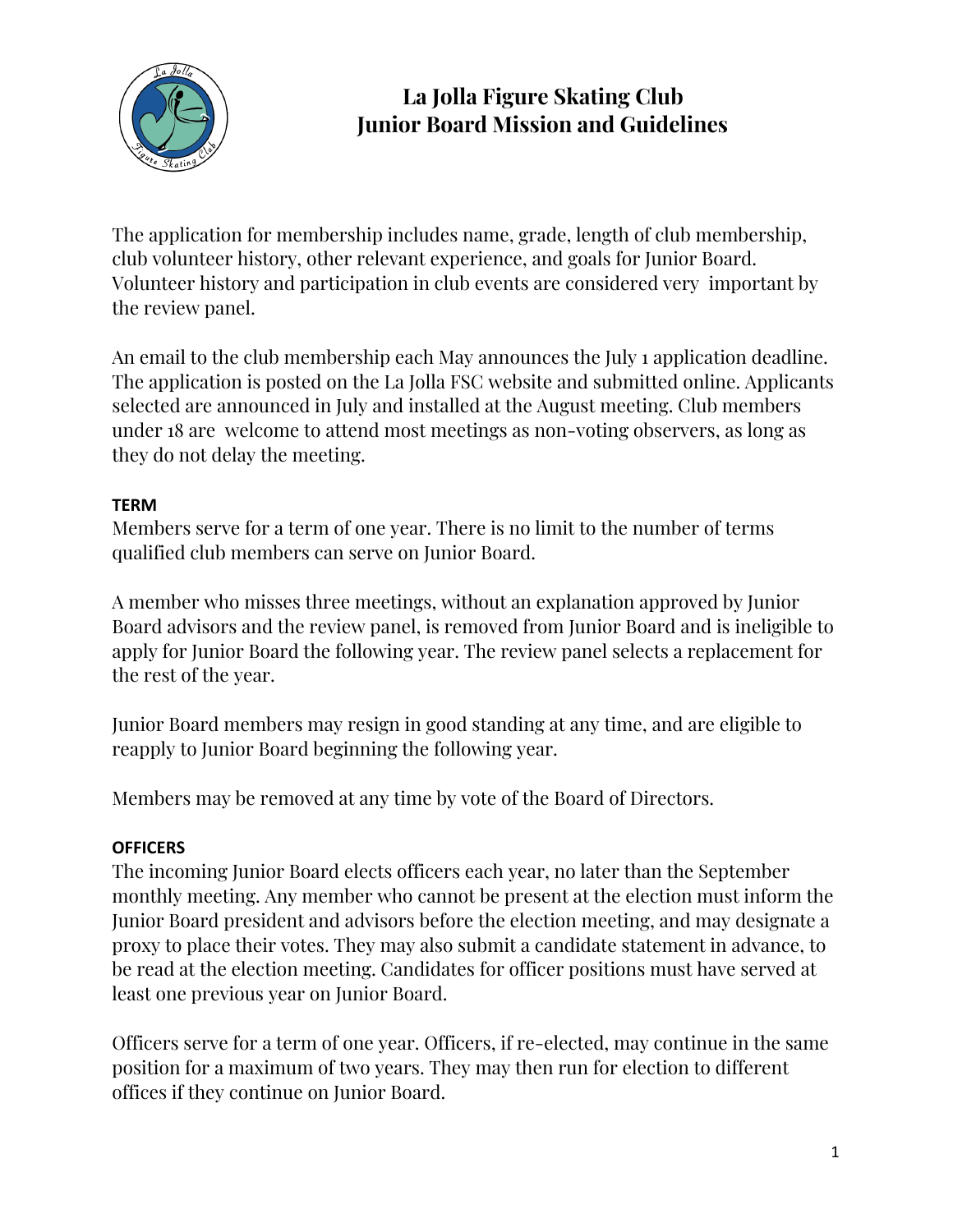

The application for membership includes name, grade, length of club membership, club volunteer history, other relevant experience, and goals for Junior Board. Volunteer history and participation in club events are considered very important by the review panel.

An email to the club membership each May announces the July 1 application deadline. The application is posted on the La Jolla FSC website and submitted online. Applicants selected are announced in July and installed at the August meeting. Club members under 18 are welcome to attend most meetings as non-voting observers, as long as they do not delay the meeting.

### **TERM**

Members serve for a term of one year. There is no limit to the number of terms qualified club members can serve on Junior Board.

A member who misses three meetings, without an explanation approved by Junior Board advisors and the review panel, is removed from Junior Board and is ineligible to apply for Junior Board the following year. The review panel selects a replacement for the rest of the year.

Junior Board members may resign in good standing at any time, and are eligible to reapply to Junior Board beginning the following year.

Members may be removed at any time by vote of the Board of Directors.

#### **OFFICERS**

The incoming Junior Board elects officers each year, no later than the September monthly meeting. Any member who cannot be present at the election must inform the Junior Board president and advisors before the election meeting, and may designate a proxy to place their votes. They may also submit a candidate statement in advance, to be read at the election meeting. Candidates for officer positions must have served at least one previous year on Junior Board.

Officers serve for a term of one year. Officers, if re-elected, may continue in the same position for a maximum of two years. They may then run for election to different offices if they continue on Junior Board.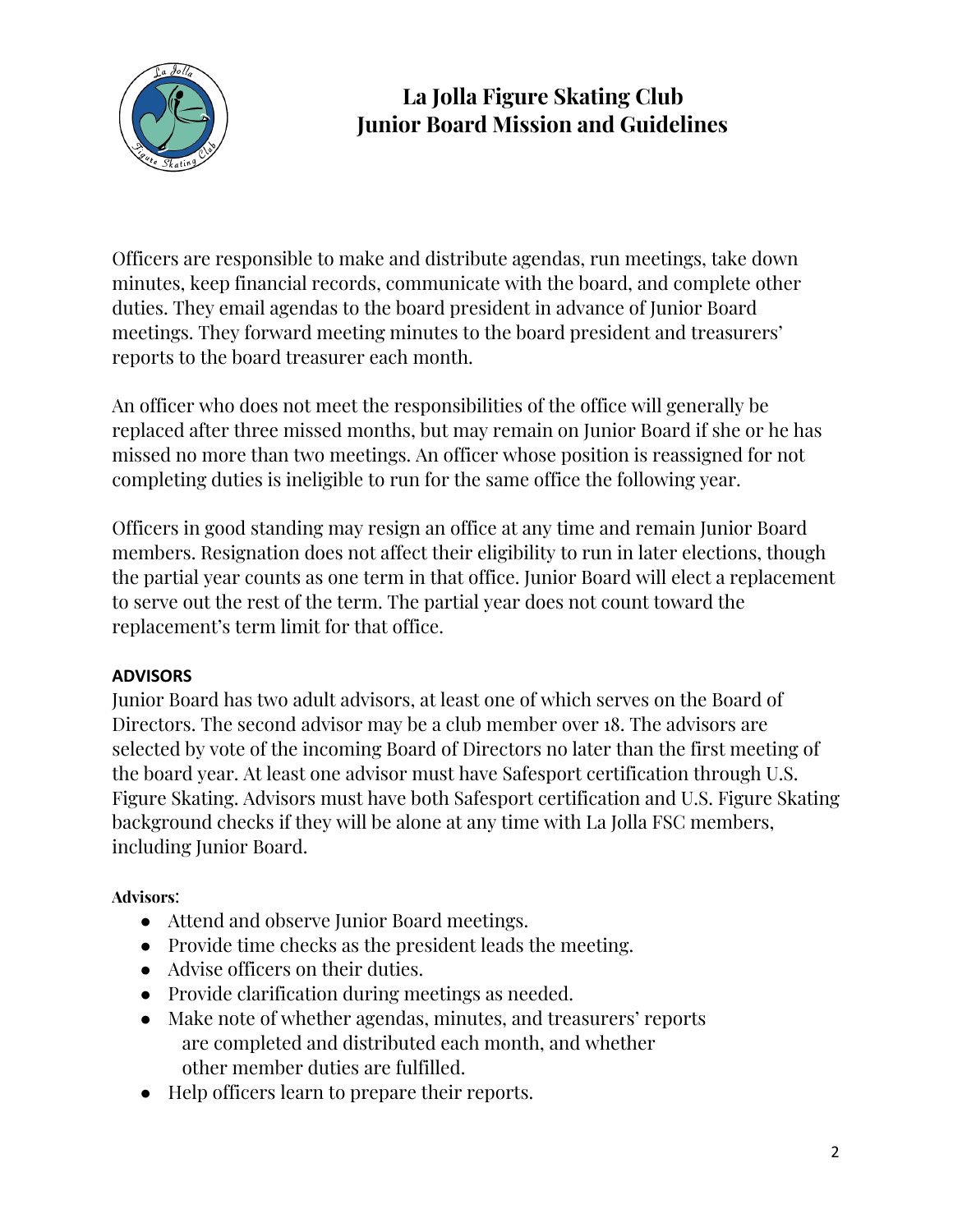

Officers are responsible to make and distribute agendas, run meetings, take down minutes, keep financial records, communicate with the board, and complete other duties. They email agendas to the board president in advance of Junior Board meetings. They forward meeting minutes to the board president and treasurers' reports to the board treasurer each month.

An officer who does not meet the responsibilities of the office will generally be replaced after three missed months, but may remain on Junior Board if she or he has missed no more than two meetings. An officer whose position is reassigned for not completing duties is ineligible to run for the same office the following year.

Officers in good standing may resign an office at any time and remain Junior Board members. Resignation does not affect their eligibility to run in later elections, though the partial year counts as one term in that office. Junior Board will elect a replacement to serve out the rest of the term. The partial year does not count toward the replacement's term limit for that office.

### **ADVISORS**

Junior Board has two adult advisors, at least one of which serves on the Board of Directors. The second advisor may be a club member over 18. The advisors are selected by vote of the incoming Board of Directors no later than the first meeting of the board year. At least one advisor must have Safesport certification through U.S. Figure Skating. Advisors must have both Safesport certification and U.S. Figure Skating background checks if they will be alone at any time with La Jolla FSC members, including Junior Board.

### **Advisors**:

- Attend and observe Junior Board meetings.
- Provide time checks as the president leads the meeting.
- Advise officers on their duties.
- Provide clarification during meetings as needed.
- Make note of whether agendas, minutes, and treasurers' reports are completed and distributed each month, and whether other member duties are fulfilled.
- Help officers learn to prepare their reports.